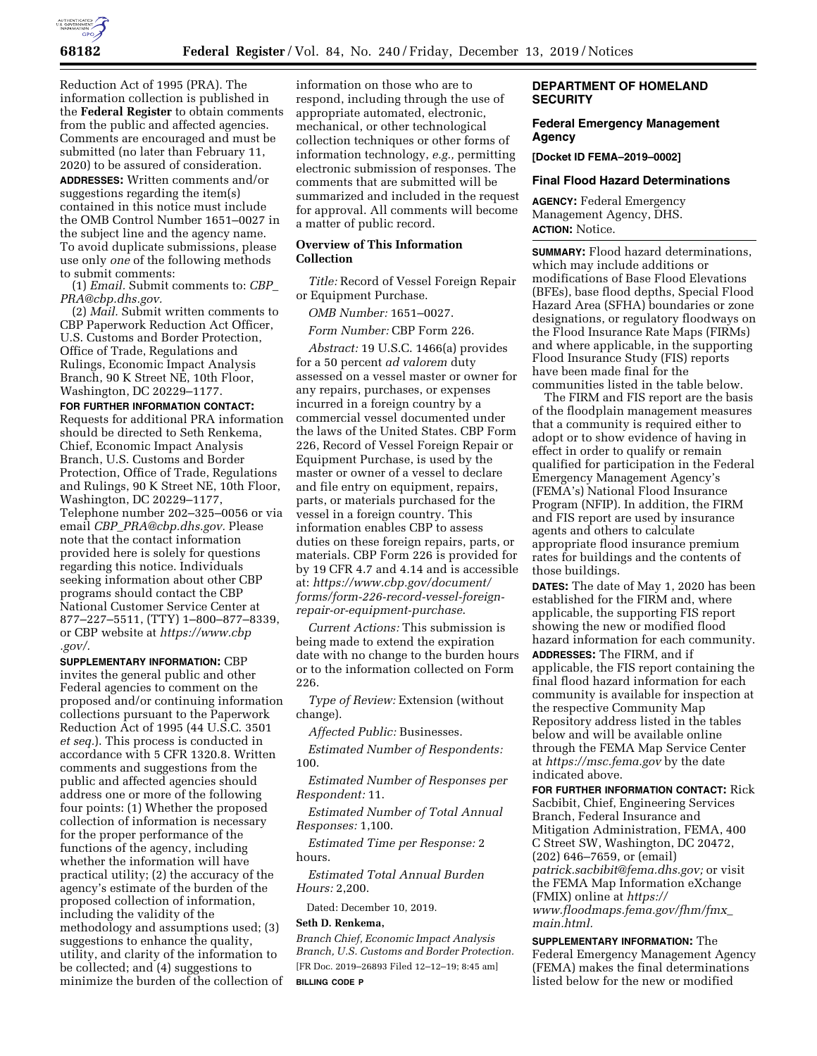

Reduction Act of 1995 (PRA). The information collection is published in the **Federal Register** to obtain comments from the public and affected agencies. Comments are encouraged and must be submitted (no later than February 11, 2020) to be assured of consideration.

**ADDRESSES:** Written comments and/or suggestions regarding the item(s) contained in this notice must include the OMB Control Number 1651–0027 in the subject line and the agency name. To avoid duplicate submissions, please use only *one* of the following methods to submit comments:

(1) *Email.* Submit comments to: *[CBP](mailto:CBP_PRA@cbp.dhs.gov)*\_ *[PRA@cbp.dhs.gov.](mailto:CBP_PRA@cbp.dhs.gov)* 

(2) *Mail.* Submit written comments to CBP Paperwork Reduction Act Officer, U.S. Customs and Border Protection, Office of Trade, Regulations and Rulings, Economic Impact Analysis Branch, 90 K Street NE, 10th Floor, Washington, DC 20229–1177.

#### **FOR FURTHER INFORMATION CONTACT:**

Requests for additional PRA information should be directed to Seth Renkema, Chief, Economic Impact Analysis Branch, U.S. Customs and Border Protection, Office of Trade, Regulations and Rulings, 90 K Street NE, 10th Floor, Washington, DC 20229–1177, Telephone number 202–325–0056 or via email *CBP*\_*[PRA@cbp.dhs.gov.](mailto:CBP_PRA@cbp.dhs.gov)* Please note that the contact information provided here is solely for questions regarding this notice. Individuals seeking information about other CBP programs should contact the CBP National Customer Service Center at 877–227–5511, (TTY) 1–800–877–8339, or CBP website at *[https://www.cbp](https://www.cbp.gov/) [.gov/.](https://www.cbp.gov/)* 

**SUPPLEMENTARY INFORMATION:** CBP invites the general public and other Federal agencies to comment on the proposed and/or continuing information collections pursuant to the Paperwork Reduction Act of 1995 (44 U.S.C. 3501 *et seq.*). This process is conducted in accordance with 5 CFR 1320.8. Written comments and suggestions from the public and affected agencies should address one or more of the following four points: (1) Whether the proposed collection of information is necessary for the proper performance of the functions of the agency, including whether the information will have practical utility; (2) the accuracy of the agency's estimate of the burden of the proposed collection of information, including the validity of the methodology and assumptions used; (3) suggestions to enhance the quality, utility, and clarity of the information to be collected; and (4) suggestions to minimize the burden of the collection of

information on those who are to respond, including through the use of appropriate automated, electronic, mechanical, or other technological collection techniques or other forms of information technology, *e.g.,* permitting electronic submission of responses. The comments that are submitted will be summarized and included in the request for approval. All comments will become a matter of public record.

## **Overview of This Information Collection**

*Title:* Record of Vessel Foreign Repair or Equipment Purchase.

*OMB Number:* 1651–0027.

*Form Number:* CBP Form 226.

*Abstract:* 19 U.S.C. 1466(a) provides for a 50 percent *ad valorem* duty assessed on a vessel master or owner for any repairs, purchases, or expenses incurred in a foreign country by a commercial vessel documented under the laws of the United States. CBP Form 226, Record of Vessel Foreign Repair or Equipment Purchase, is used by the master or owner of a vessel to declare and file entry on equipment, repairs, parts, or materials purchased for the vessel in a foreign country. This information enables CBP to assess duties on these foreign repairs, parts, or materials. CBP Form 226 is provided for by 19 CFR 4.7 and 4.14 and is accessible at: *[https://www.cbp.gov/document/](https://www.cbp.gov/document/forms/form-226-record-vessel-foreign-repair-or-equipment-purchase) [forms/form-226-record-vessel-foreign](https://www.cbp.gov/document/forms/form-226-record-vessel-foreign-repair-or-equipment-purchase)[repair-or-equipment-purchase](https://www.cbp.gov/document/forms/form-226-record-vessel-foreign-repair-or-equipment-purchase)*.

*Current Actions:* This submission is being made to extend the expiration date with no change to the burden hours or to the information collected on Form 226.

*Type of Review:* Extension (without change).

*Affected Public:* Businesses.

*Estimated Number of Respondents:*  100.

*Estimated Number of Responses per Respondent:* 11.

*Estimated Number of Total Annual Responses:* 1,100.

*Estimated Time per Response:* 2 hours.

*Estimated Total Annual Burden Hours:* 2,200.

Dated: December 10, 2019.

## **Seth D. Renkema,**

*Branch Chief, Economic Impact Analysis Branch, U.S. Customs and Border Protection.*  [FR Doc. 2019–26893 Filed 12–12–19; 8:45 am] **BILLING CODE P** 

# **DEPARTMENT OF HOMELAND SECURITY**

## **Federal Emergency Management Agency**

**[Docket ID FEMA–2019–0002]** 

#### **Final Flood Hazard Determinations**

**AGENCY:** Federal Emergency Management Agency, DHS. **ACTION:** Notice.

**SUMMARY:** Flood hazard determinations, which may include additions or modifications of Base Flood Elevations (BFEs), base flood depths, Special Flood Hazard Area (SFHA) boundaries or zone designations, or regulatory floodways on the Flood Insurance Rate Maps (FIRMs) and where applicable, in the supporting Flood Insurance Study (FIS) reports have been made final for the communities listed in the table below.

The FIRM and FIS report are the basis of the floodplain management measures that a community is required either to adopt or to show evidence of having in effect in order to qualify or remain qualified for participation in the Federal Emergency Management Agency's (FEMA's) National Flood Insurance Program (NFIP). In addition, the FIRM and FIS report are used by insurance agents and others to calculate appropriate flood insurance premium rates for buildings and the contents of those buildings.

**DATES:** The date of May 1, 2020 has been established for the FIRM and, where applicable, the supporting FIS report showing the new or modified flood hazard information for each community. **ADDRESSES:** The FIRM, and if applicable, the FIS report containing the final flood hazard information for each community is available for inspection at the respective Community Map Repository address listed in the tables below and will be available online through the FEMA Map Service Center at *<https://msc.fema.gov>*by the date indicated above.

**FOR FURTHER INFORMATION CONTACT:** Rick Sacbibit, Chief, Engineering Services Branch, Federal Insurance and Mitigation Administration, FEMA, 400 C Street SW, Washington, DC 20472, (202) 646–7659, or (email) *[patrick.sacbibit@fema.dhs.gov;](mailto:patrick.sacbibit@fema.dhs.gov)* or visit the FEMA Map Information eXchange (FMIX) online at *[https://](https://www.floodmaps.fema.gov/fhm/fmx_main.html) [www.floodmaps.fema.gov/fhm/fmx](https://www.floodmaps.fema.gov/fhm/fmx_main.html)*\_ *[main.html.](https://www.floodmaps.fema.gov/fhm/fmx_main.html)* 

**SUPPLEMENTARY INFORMATION:** The Federal Emergency Management Agency (FEMA) makes the final determinations listed below for the new or modified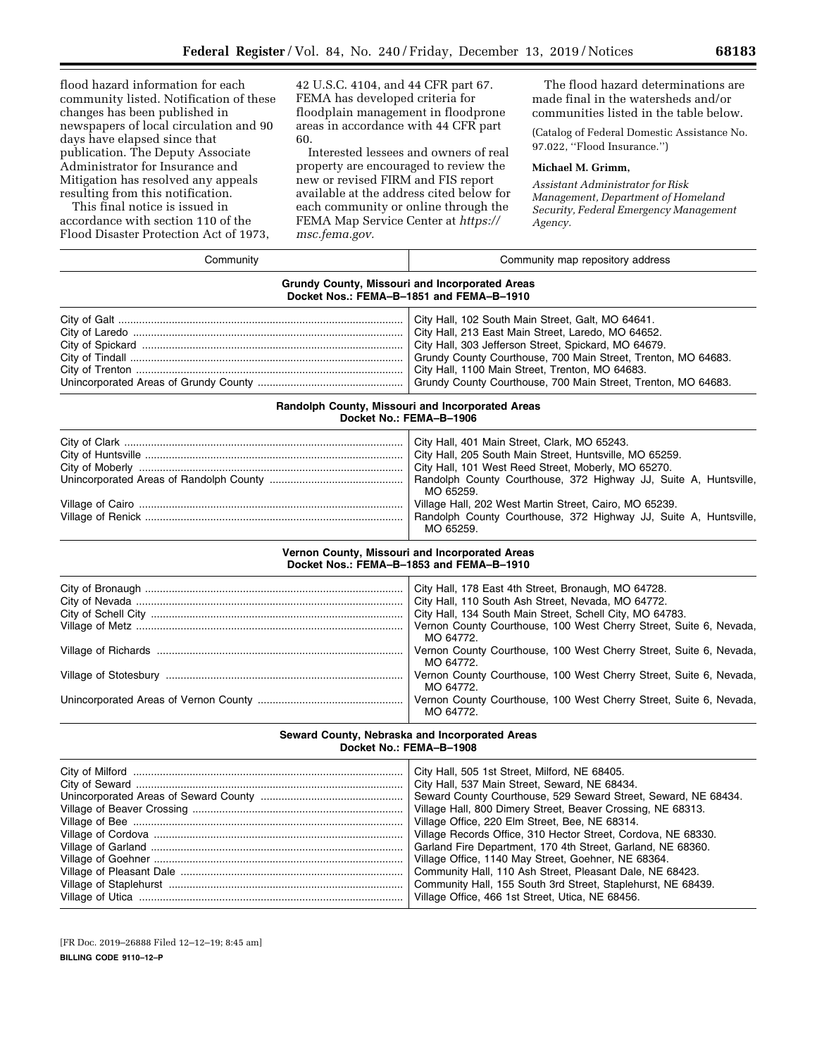flood hazard information for each community listed. Notification of these changes has been published in newspapers of local circulation and 90 days have elapsed since that publication. The Deputy Associate Administrator for Insurance and Mitigation has resolved any appeals resulting from this notification.

This final notice is issued in accordance with section 110 of the Flood Disaster Protection Act of 1973,

42 U.S.C. 4104, and 44 CFR part 67. FEMA has developed criteria for floodplain management in floodprone areas in accordance with 44 CFR part 60.

Interested lessees and owners of real property are encouraged to review the new or revised FIRM and FIS report available at the address cited below for each community or online through the FEMA Map Service Center at *[https://](https://msc.fema.gov) [msc.fema.gov.](https://msc.fema.gov)* 

The flood hazard determinations are made final in the watersheds and/or communities listed in the table below.

(Catalog of Federal Domestic Assistance No. 97.022, ''Flood Insurance.'')

### **Michael M. Grimm,**

*Assistant Administrator for Risk Management, Department of Homeland Security, Federal Emergency Management Agency.* 

| Community                                                                                  | Community map repository address                                                                                                                                                                                                                                                                                                                                                                                                                                                                                                                                                                                                                         |  |  |  |  |  |
|--------------------------------------------------------------------------------------------|----------------------------------------------------------------------------------------------------------------------------------------------------------------------------------------------------------------------------------------------------------------------------------------------------------------------------------------------------------------------------------------------------------------------------------------------------------------------------------------------------------------------------------------------------------------------------------------------------------------------------------------------------------|--|--|--|--|--|
| Grundy County, Missouri and Incorporated Areas<br>Docket Nos.: FEMA-B-1851 and FEMA-B-1910 |                                                                                                                                                                                                                                                                                                                                                                                                                                                                                                                                                                                                                                                          |  |  |  |  |  |
|                                                                                            | City Hall, 102 South Main Street, Galt, MO 64641.<br>City Hall, 213 East Main Street, Laredo, MO 64652.<br>City Hall, 303 Jefferson Street, Spickard, MO 64679.<br>Grundy County Courthouse, 700 Main Street, Trenton, MO 64683.<br>City Hall, 1100 Main Street, Trenton, MO 64683.<br>Grundy County Courthouse, 700 Main Street, Trenton, MO 64683.                                                                                                                                                                                                                                                                                                     |  |  |  |  |  |
| Randolph County, Missouri and Incorporated Areas<br>Docket No.: FEMA-B-1906                |                                                                                                                                                                                                                                                                                                                                                                                                                                                                                                                                                                                                                                                          |  |  |  |  |  |
|                                                                                            | City Hall, 401 Main Street, Clark, MO 65243.<br>City Hall, 205 South Main Street, Huntsville, MO 65259.<br>City Hall, 101 West Reed Street, Moberly, MO 65270.<br>Randolph County Courthouse, 372 Highway JJ, Suite A, Huntsville,<br>MO 65259.<br>Village Hall, 202 West Martin Street, Cairo, MO 65239.<br>Randolph County Courthouse, 372 Highway JJ, Suite A, Huntsville,<br>MO 65259.                                                                                                                                                                                                                                                               |  |  |  |  |  |
|                                                                                            | Vernon County, Missouri and Incorporated Areas<br>Docket Nos.: FEMA-B-1853 and FEMA-B-1910                                                                                                                                                                                                                                                                                                                                                                                                                                                                                                                                                               |  |  |  |  |  |
|                                                                                            | City Hall, 178 East 4th Street, Bronaugh, MO 64728.<br>City Hall, 110 South Ash Street, Nevada, MO 64772.<br>City Hall, 134 South Main Street, Schell City, MO 64783.<br>Vernon County Courthouse, 100 West Cherry Street, Suite 6, Nevada,<br>MO 64772.<br>Vernon County Courthouse, 100 West Cherry Street, Suite 6, Nevada,<br>MO 64772.<br>Vernon County Courthouse, 100 West Cherry Street, Suite 6, Nevada,<br>MO 64772.<br>Vernon County Courthouse, 100 West Cherry Street, Suite 6, Nevada,<br>MO 64772.                                                                                                                                        |  |  |  |  |  |
| Seward County, Nebraska and Incorporated Areas<br>Docket No.: FEMA-B-1908                  |                                                                                                                                                                                                                                                                                                                                                                                                                                                                                                                                                                                                                                                          |  |  |  |  |  |
|                                                                                            | City Hall, 505 1st Street, Milford, NE 68405.<br>City Hall, 537 Main Street, Seward, NE 68434.<br>Seward County Courthouse, 529 Seward Street, Seward, NE 68434.<br>Village Hall, 800 Dimery Street, Beaver Crossing, NE 68313.<br>Village Office, 220 Elm Street, Bee, NE 68314.<br>Village Records Office, 310 Hector Street, Cordova, NE 68330.<br>Garland Fire Department, 170 4th Street, Garland, NE 68360.<br>Village Office, 1140 May Street, Goehner, NE 68364.<br>Community Hall, 110 Ash Street, Pleasant Dale, NE 68423.<br>Community Hall, 155 South 3rd Street, Staplehurst, NE 68439.<br>Village Office, 466 1st Street, Utica, NE 68456. |  |  |  |  |  |

[FR Doc. 2019–26888 Filed 12–12–19; 8:45 am] **BILLING CODE 9110–12–P**